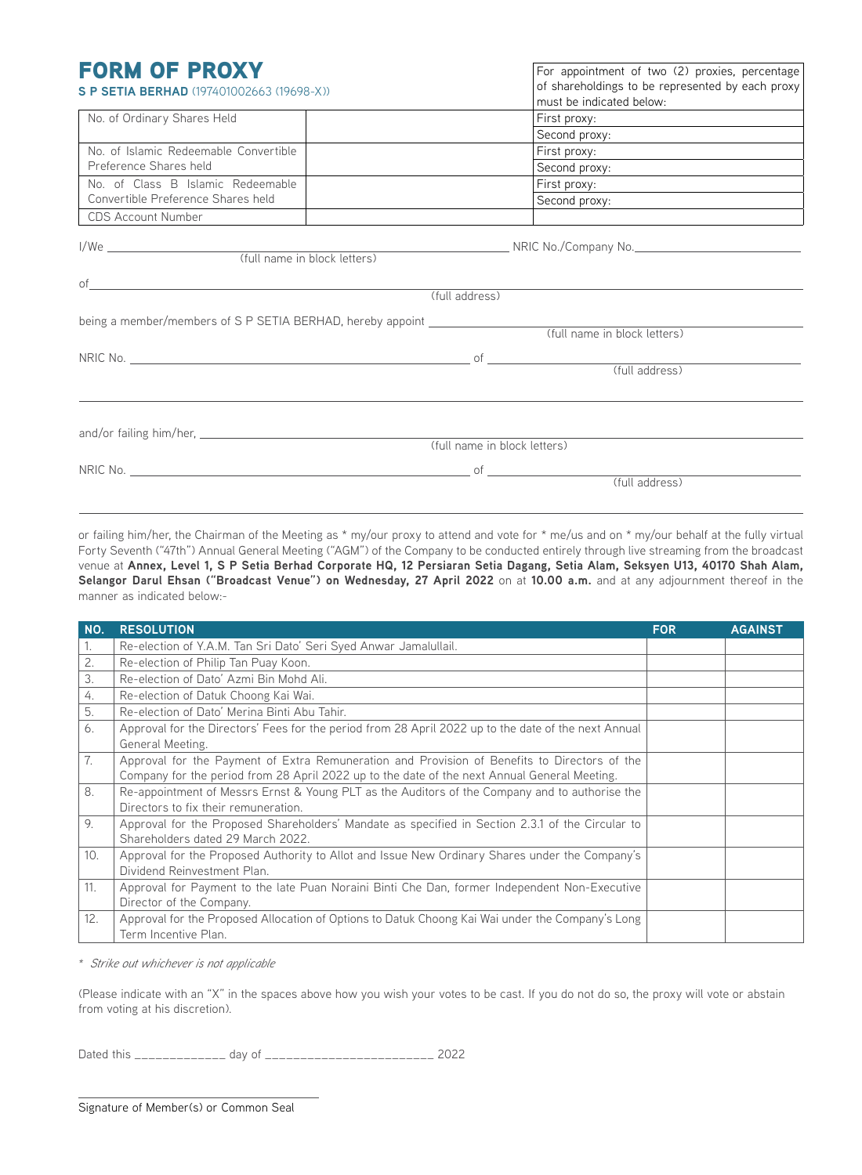| <b>FORM OF PROXY</b><br><b>S P SETIA BERHAD</b> (197401002663 (19698-X))         | For appointment of two (2) proxies, percentage<br>of shareholdings to be represented by each proxy<br>must be indicated below: |  |  |
|----------------------------------------------------------------------------------|--------------------------------------------------------------------------------------------------------------------------------|--|--|
| No. of Ordinary Shares Held                                                      |                                                                                                                                |  |  |
|                                                                                  | Second proxy:                                                                                                                  |  |  |
| No. of Islamic Redeemable Convertible                                            |                                                                                                                                |  |  |
| Preference Shares held                                                           | Second proxy:                                                                                                                  |  |  |
| No. of Class B Islamic Redeemable                                                | First proxy: <u>________________________</u>                                                                                   |  |  |
| Convertible Preference Shares held                                               |                                                                                                                                |  |  |
| CDS Account Number                                                               |                                                                                                                                |  |  |
| of                                                                               |                                                                                                                                |  |  |
|                                                                                  | (full address)                                                                                                                 |  |  |
| being a member/members of S P SETIA BERHAD, hereby appoint _____________________ |                                                                                                                                |  |  |
|                                                                                  | (full name in block letters)                                                                                                   |  |  |
|                                                                                  |                                                                                                                                |  |  |
|                                                                                  |                                                                                                                                |  |  |
|                                                                                  |                                                                                                                                |  |  |
|                                                                                  | (full name in block letters)                                                                                                   |  |  |
|                                                                                  |                                                                                                                                |  |  |
|                                                                                  | $\overline{\text{of}}$ (full address)                                                                                          |  |  |

or failing him/her, the Chairman of the Meeting as \* my/our proxy to attend and vote for \* me/us and on \* my/our behalf at the fully virtual Forty Seventh ("47th") Annual General Meeting ("AGM") of the Company to be conducted entirely through live streaming from the broadcast venue at **Annex, Level 1, S P Setia Berhad Corporate HQ, 12 Persiaran Setia Dagang, Setia Alam, Seksyen U13, 40170 Shah Alam, Selangor Darul Ehsan ("Broadcast Venue") on Wednesday, 27 April 2022** on at **10.00 a.m.** and at any adjournment thereof in the manner as indicated below:-

| NO. | <b>RESOLUTION</b>                                                                                                                                                                            | <b>FOR</b> | <b>AGAINST</b> |
|-----|----------------------------------------------------------------------------------------------------------------------------------------------------------------------------------------------|------------|----------------|
| 1.  | Re-election of Y.A.M. Tan Sri Dato' Seri Syed Anwar Jamalullail.                                                                                                                             |            |                |
| 2.  | Re-election of Philip Tan Puay Koon.                                                                                                                                                         |            |                |
| 3.  | Re-election of Dato' Azmi Bin Mohd Ali.                                                                                                                                                      |            |                |
| 4.  | Re-election of Datuk Choong Kai Wai.                                                                                                                                                         |            |                |
| 5.  | Re-election of Dato' Merina Binti Abu Tahir.                                                                                                                                                 |            |                |
| 6.  | Approval for the Directors' Fees for the period from 28 April 2022 up to the date of the next Annual<br>General Meeting.                                                                     |            |                |
| 7.  | Approval for the Payment of Extra Remuneration and Provision of Benefits to Directors of the<br>Company for the period from 28 April 2022 up to the date of the next Annual General Meeting. |            |                |
| 8.  | Re-appointment of Messrs Ernst & Young PLT as the Auditors of the Company and to authorise the<br>Directors to fix their remuneration.                                                       |            |                |
| 9.  | Approval for the Proposed Shareholders' Mandate as specified in Section 2.3.1 of the Circular to<br>Shareholders dated 29 March 2022.                                                        |            |                |
| 10. | Approval for the Proposed Authority to Allot and Issue New Ordinary Shares under the Company's<br>Dividend Reinvestment Plan.                                                                |            |                |
| 11. | Approval for Payment to the late Puan Noraini Binti Che Dan, former Independent Non-Executive<br>Director of the Company.                                                                    |            |                |
| 12. | Approval for the Proposed Allocation of Options to Datuk Choong Kai Wai under the Company's Long<br>Term Incentive Plan.                                                                     |            |                |

*\* Strike out whichever is not applicable*

(Please indicate with an "X" in the spaces above how you wish your votes to be cast. If you do not do so, the proxy will vote or abstain from voting at his discretion).

Dated this \_\_\_\_\_\_\_\_\_\_\_\_\_ day of \_\_\_\_\_\_\_\_\_\_\_\_\_\_\_\_\_\_\_\_\_\_\_\_ 2022